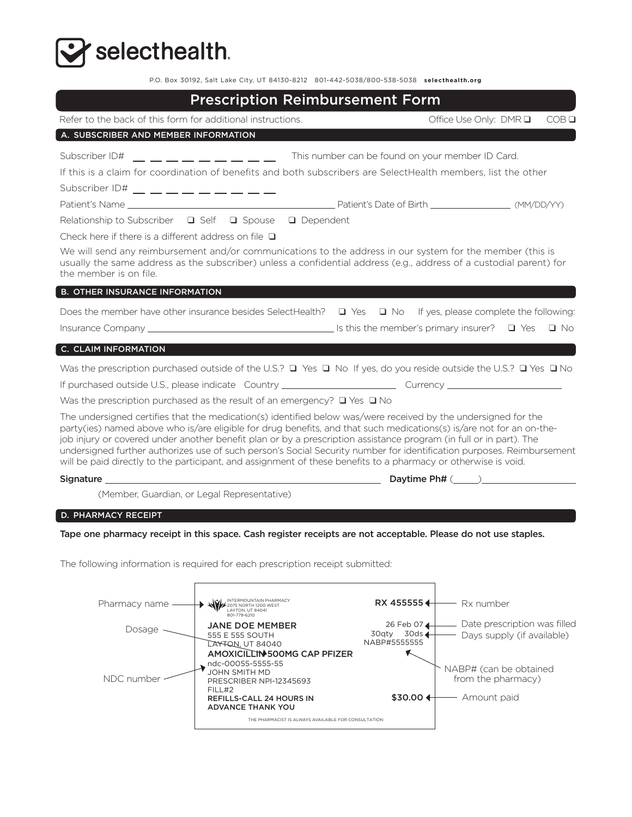Selecthealth.

P.O. Box 30192, Salt Lake City, UT 84130-8212 801-442-5038/800-538-5038 **selecthealth.org**

| <b>Prescription Reimbursement Form</b>                                               |                                                                                                                                                                                                                                                                                                                                                                                                                                                                                                                                                                                                         |  |  |
|--------------------------------------------------------------------------------------|---------------------------------------------------------------------------------------------------------------------------------------------------------------------------------------------------------------------------------------------------------------------------------------------------------------------------------------------------------------------------------------------------------------------------------------------------------------------------------------------------------------------------------------------------------------------------------------------------------|--|--|
| Refer to the back of this form for additional instructions.                          | Office Use Only: DMR Q<br>COB <sub>0</sub>                                                                                                                                                                                                                                                                                                                                                                                                                                                                                                                                                              |  |  |
| A. SUBSCRIBER AND MEMBER INFORMATION                                                 |                                                                                                                                                                                                                                                                                                                                                                                                                                                                                                                                                                                                         |  |  |
| Subscriber ID#<br><u> — — — — — — — — — — </u>                                       | This number can be found on your member ID Card.                                                                                                                                                                                                                                                                                                                                                                                                                                                                                                                                                        |  |  |
|                                                                                      | If this is a claim for coordination of benefits and both subscribers are SelectHealth members, list the other                                                                                                                                                                                                                                                                                                                                                                                                                                                                                           |  |  |
| Subscriber ID# $\_\_$ $\_\_$ $\_\_$ $\_\_$ $\_\_$ $\_\_$ $\_\_$ $\_\_$ $\_\_$ $\_\_$ |                                                                                                                                                                                                                                                                                                                                                                                                                                                                                                                                                                                                         |  |  |
|                                                                                      |                                                                                                                                                                                                                                                                                                                                                                                                                                                                                                                                                                                                         |  |  |
| Relationship to Subscriber $\Box$ Self $\Box$ Spouse $\Box$ Dependent                |                                                                                                                                                                                                                                                                                                                                                                                                                                                                                                                                                                                                         |  |  |
| Check here if there is a different address on file $\Box$                            |                                                                                                                                                                                                                                                                                                                                                                                                                                                                                                                                                                                                         |  |  |
| the member is on file.                                                               | We will send any reimbursement and/or communications to the address in our system for the member (this is<br>usually the same address as the subscriber) unless a confidential address (e.g., address of a custodial parent) for                                                                                                                                                                                                                                                                                                                                                                        |  |  |
| <b>B. OTHER INSURANCE INFORMATION</b>                                                |                                                                                                                                                                                                                                                                                                                                                                                                                                                                                                                                                                                                         |  |  |
| Does the member have other insurance besides SelectHealth? $\Box$ Yes $\Box$ No      | If yes, please complete the following:                                                                                                                                                                                                                                                                                                                                                                                                                                                                                                                                                                  |  |  |
|                                                                                      | $\Box$ No                                                                                                                                                                                                                                                                                                                                                                                                                                                                                                                                                                                               |  |  |
| C. CLAIM INFORMATION                                                                 |                                                                                                                                                                                                                                                                                                                                                                                                                                                                                                                                                                                                         |  |  |
|                                                                                      | Was the prescription purchased outside of the U.S.? $\Box$ Yes $\Box$ No If yes, do you reside outside the U.S.? $\Box$ Yes $\Box$ No                                                                                                                                                                                                                                                                                                                                                                                                                                                                   |  |  |
|                                                                                      |                                                                                                                                                                                                                                                                                                                                                                                                                                                                                                                                                                                                         |  |  |
| Was the prescription purchased as the result of an emergency? $\Box$ Yes $\Box$ No   |                                                                                                                                                                                                                                                                                                                                                                                                                                                                                                                                                                                                         |  |  |
|                                                                                      | The undersigned certifies that the medication(s) identified below was/were received by the undersigned for the<br>party(ies) named above who is/are eligible for drug benefits, and that such medications(s) is/are not for an on-the-<br>job injury or covered under another benefit plan or by a prescription assistance program (in full or in part). The<br>undersigned further authorizes use of such person's Social Security number for identification purposes. Reimbursement<br>will be paid directly to the participant, and assignment of these benefits to a pharmacy or otherwise is void. |  |  |
|                                                                                      |                                                                                                                                                                                                                                                                                                                                                                                                                                                                                                                                                                                                         |  |  |
| (Member, Guardian, or Legal Representative)                                          |                                                                                                                                                                                                                                                                                                                                                                                                                                                                                                                                                                                                         |  |  |
| D. PHARMACY RECEIPT                                                                  |                                                                                                                                                                                                                                                                                                                                                                                                                                                                                                                                                                                                         |  |  |
|                                                                                      | Tape one pharmacy receipt in this space. Cash register receipts are not acceptable. Please do not use staples.                                                                                                                                                                                                                                                                                                                                                                                                                                                                                          |  |  |
| The following information is required for each prescription receipt submitted:       |                                                                                                                                                                                                                                                                                                                                                                                                                                                                                                                                                                                                         |  |  |
|                                                                                      |                                                                                                                                                                                                                                                                                                                                                                                                                                                                                                                                                                                                         |  |  |
| $\mathsf{Pharmacy}$ name $\longrightarrow \mathsf{W\!V}$ intermountain pharmacy      | RX 455555 $\leftarrow$ Rx number                                                                                                                                                                                                                                                                                                                                                                                                                                                                                                                                                                        |  |  |

| Pharmacy name                                                                                                                                                                           | AYTON, UT 84041<br>801-779-6210                                                                                           | RX 4555554                                                  | Rx number                                                  |
|-----------------------------------------------------------------------------------------------------------------------------------------------------------------------------------------|---------------------------------------------------------------------------------------------------------------------------|-------------------------------------------------------------|------------------------------------------------------------|
| Dosage                                                                                                                                                                                  | <b>JANE DOE MEMBER</b><br>555 E 555 SOUTH<br><b>LAYTON, UT 84040</b><br>AMOXICILLIN 500MG CAP PFIZER<br>ndc-00055-5555-55 | 26 Feb 07 4<br>30ds<br>30qty<br>NABP#5555555                | Date prescription was filled<br>Days supply (if available) |
| JOHN SMITH MD<br>NDC number<br>PRESCRIBER NPI-12345693<br>FILLH2<br><b>REFILLS-CALL 24 HOURS IN</b><br><b>ADVANCE THANK YOU</b><br>THE PHARMACIST IS AI WAYS AVAILABLE FOR CONSULTATION | $$30.00 \leftarrow$                                                                                                       | NABP# (can be obtained<br>from the pharmacy)<br>Amount paid |                                                            |